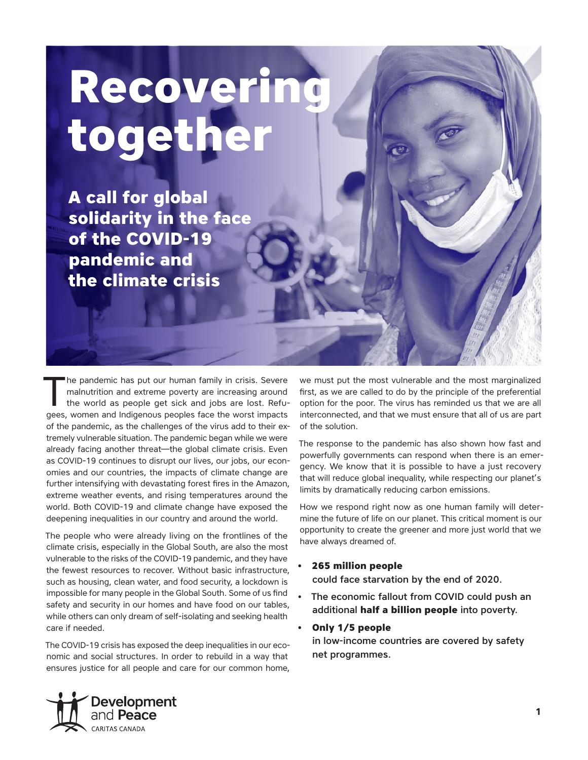# **Recovering together**

**A call for global solidarity in the face of the COVID‑19 pandemic and the climate crisis** 

The pandemic has put our human family in crisis. Severe<br>
malnutrition and extreme poverty are increasing around<br>
the world as people get sick and jobs are lost. Refu-<br>
seen, were under and indicanous peoples face the worst malnutrition and extreme poverty are increasing around gees, women and Indigenous peoples face the worst impacts of the pandemic, as the challenges of the virus add to their extremely vulnerable situation. The pandemic began while we were already facing another threat—the global climate crisis. Even as COVID-19 continues to disrupt our lives, our jobs, our economies and our countries, the impacts of climate change are further intensifying with devastating forest fires in the Amazon, extreme weather events, and rising temperatures around the world. Both COVID-19 and climate change have exposed the deepening inequalities in our country and around the world.

The people who were already living on the frontlines of the climate crisis, especially in the Global South, are also the most vulnerable to the risks of the COVID-19 pandemic, and they have the fewest resources to recover. Without basic infrastructure, such as housing, clean water, and food security, a lockdown is impossible for many people in the Global South. Some of us find safety and security in our homes and have food on our tables, while others can only dream of self-isolating and seeking health care if needed.

The COVID-19 crisis has exposed the deep inequalities in our economic and social structures. In order to rebuild in a way that ensures justice for all people and care for our common home,

we must put the most vulnerable and the most marginalized first, as we are called to do by the principle of the preferential option for the poor. The virus has reminded us that we are all interconnected, and that we must ensure that all of us are part of the solution.

The response to the pandemic has also shown how fast and powerfully governments can respond when there is an emergency. We know that it is possible to have a just recovery that will reduce global inequality, while respecting our planet's limits by dramatically reducing carbon emissions.

How we respond right now as one human family will determine the future of life on our planet. This critical moment is our opportunity to create the greener and more just world that we have always dreamed of.

## **• 265 million people**

could face starvation by the end of 2020.

The economic fallout from COVID could push an additional **half a billion people** into poverty.

## **• Only 1/5 people**

in low-income countries are covered by safety net programmes.

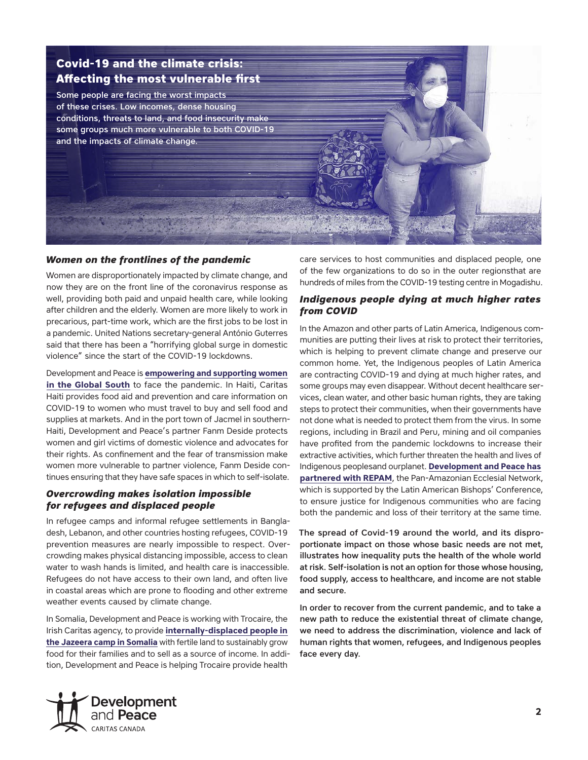

## *Women on the frontlines of the pandemic*

Women are disproportionately impacted by climate change, and now they are on the front line of the coronavirus response as well, providing both paid and unpaid health care, while looking after children and the elderly. Women are more likely to work in precarious, part-time work, which are the first jobs to be lost in a pandemic. United Nations secretary-general António Guterres said that there has been a "horrifying global surge in domestic violence" since the start of the COVID-19 lockdowns.

Development and Peace is **[empowering and supporting women](https://www.devp.org/en/articles/seven-ways-women-are-frontlines-covid-19-pandemic)  [in the Global South](https://www.devp.org/en/articles/seven-ways-women-are-frontlines-covid-19-pandemic)** to face the pandemic. In Haiti, Caritas Haiti provides food aid and prevention and care information on COVID-19 to women who must travel to buy and sell food and supplies at markets. And in the port town of Jacmel in southern-Haiti, Development and Peace's partner Fanm Deside protects women and girl victims of domestic violence and advocates for their rights. As confinement and the fear of transmission make women more vulnerable to partner violence, Fanm Deside continues ensuring that they have safe spaces in which to self-isolate.

## *Overcrowding makes isolation impossible for refugees and displaced people*

In refugee camps and informal refugee settlements in Bangladesh, Lebanon, and other countries hosting refugees, COVID-19 prevention measures are nearly impossible to respect. Overcrowding makes physical distancing impossible, access to clean water to wash hands is limited, and health care is inaccessible. Refugees do not have access to their own land, and often live in coastal areas which are prone to flooding and other extreme weather events caused by climate change.

In Somalia, Development and Peace is working with Trocaire, the Irish Caritas agency, to provide **[internally-displaced people in](https://www.devp.org/en/fall2020/community-profiles/shahido)  [the Jazeera camp in Somalia](https://www.devp.org/en/fall2020/community-profiles/shahido)** with fertile land to sustainably grow food for their families and to sell as a source of income. In addition, Development and Peace is helping Trocaire provide health

care services to host communities and displaced people, one of the few organizations to do so in the outer regionsthat are hundreds of miles from the COVID-19 testing centre in Mogadishu.

## *Indigenous people dying at much higher rates from COVID*

In the Amazon and other parts of Latin America, Indigenous communities are putting their lives at risk to protect their territories, which is helping to prevent climate change and preserve our common home. Yet, the Indigenous peoples of Latin America are contracting COVID-19 and dying at much higher rates, and some groups may even disappear. Without decent healthcare services, clean water, and other basic human rights, they are taking steps to protect their communities, when their governments have not done what is needed to protect them from the virus. In some regions, including in Brazil and Peru, mining and oil companies have profited from the pandemic lockdowns to increase their extractive activities, which further threaten the health and lives of Indigenous peoplesand ourplanet. **[Development and Peace has](https://www.devp.org/en/articles/amazon-faces-humanitarian-and-environmental-tragedy-because-pandemic)  [partnered with REPAM](https://www.devp.org/en/articles/amazon-faces-humanitarian-and-environmental-tragedy-because-pandemic)**, the Pan-Amazonian Ecclesial Network, which is supported by the Latin American Bishops' Conference, to ensure justice for Indigenous communities who are facing both the pandemic and loss of their territory at the same time.

The spread of Covid-19 around the world, and its disproportionate impact on those whose basic needs are not met, illustrates how inequality puts the health of the whole world at risk. Self-isolation is not an option for those whose housing, food supply, access to healthcare, and income are not stable and secure.

In order to recover from the current pandemic, and to take a new path to reduce the existential threat of climate change, we need to address the discrimination, violence and lack of human rights that women, refugees, and Indigenous peoples face every day.

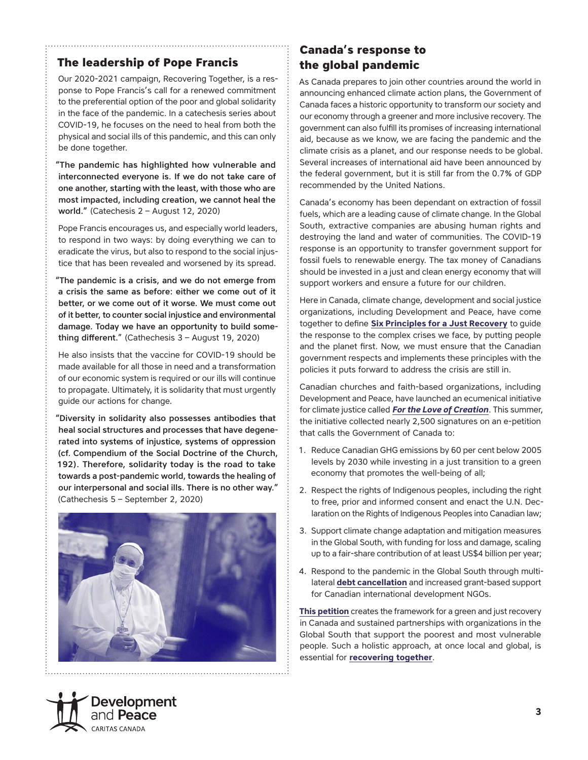## **The leadership of Pope Francis**

Our 2020-2021 campaign, Recovering Together, is a response to Pope Francis's call for a renewed commitment to the preferential option of the poor and global solidarity in the face of the pandemic. In a catechesis series about COVID-19, he focuses on the need to heal from both the physical and social ills of this pandemic, and this can only be done together.

"The pandemic has highlighted how vulnerable and interconnected everyone is. If we do not take care of one another, starting with the least, with those who are most impacted, including creation, we cannot heal the world." ([Catechesis 2 – August 12](http://www.vatican.va/content/francesco/en/audiences/2020/documents/papa-francesco_20200812_udienza-generale.html), 2020)

Pope Francis encourages us, and especially world leaders, to respond in two ways: by doing everything we can to eradicate the virus, but also to respond to the social injustice that has been revealed and worsened by its spread.

"The pandemic is a crisis, and we do not emerge from a crisis the same as before: either we come out of it better, or we come out of it worse. We must come out of it better, to counter social injustice and environmental damage. Today we have an opportunity to build something different." (Cathechesis 3 – August 19, 2020)

He also insists that the vaccine for COVID-19 should be made available for all those in need and a transformation of our economic system is required or our ills will continue to propagate. Ultimately, it is solidarity that must urgently guide our actions for change.

"Diversity in solidarity also possesses antibodies that heal social structures and processes that have degenerated into systems of injustice, systems of oppression (cf. [Compendium of the Social Doctrine of the Church,](http://www.vatican.va/roman_curia/pontifical_councils/justpeace/documents/rc_pc_justpeace_doc_20060526_compendio-dott-soc_en.html#a. Meaning and value) 192). Therefore, solidarity today is the road to take towards a post-pandemic world, towards the healing of our interpersonal and social ills. There is no other way." (Cathechesis 5 – September 2, 2020)



## **Canada's response to the global pandemic**

As Canada prepares to join other countries around the world in announcing enhanced climate action plans, the Government of Canada faces a historic opportunity to transform our society and our economy through a greener and more inclusive recovery. The government can also fulfill its promises of increasing international aid, because as we know, we are facing the pandemic and the climate crisis as a planet, and our response needs to be global. Several increases of international aid have been announced by the federal government, but it is still far from the 0.7% of GDP recommended by the United Nations.

Canada's economy has been dependant on extraction of fossil fuels, which are a leading cause of climate change. In the Global South, extractive companies are abusing human rights and destroying the land and water of communities. The COVID-19 response is an opportunity to transfer government support for fossil fuels to renewable energy. The tax money of Canadians should be invested in a just and clean energy economy that will support workers and ensure a future for our children.

Here in Canada, climate change, development and social justice organizations, including Development and Peace, have come together to define **[Six Principles for a Just Recovery](https://justrecoveryforall.ca/)** to guide the response to the complex crises we face, by putting people and the planet first. Now, we must ensure that the Canadian government respects and implements these principles with the policies it puts forward to address the crisis are still in.

Canadian churches and faith-based organizations, including Development and Peace, have launched an ecumenical initiative for climate justice called *[For the Love of Creation](https://fortheloveofcreation.ca/)*. This summer, the initiative collected nearly 2,500 signatures on an e-petition that calls the Government of Canada to:

- 1. Reduce Canadian GHG emissions by 60 per cent below 2005 levels by 2030 while investing in a just transition to a green economy that promotes the well-being of all;
- 2. Respect the rights of Indigenous peoples, including the right to free, prior and informed consent and enact the U.N. Declaration on the Rights of Indigenous Peoples into Canadian law;
- 3. Support climate change adaptation and mitigation measures in the Global South, with funding for loss and damage, scaling up to a fair-share contribution of at least US\$4 billion per year;
- 4. Respond to the pandemic in the Global South through multilateral **[debt cancellation](https://www.devp.org/en/articles/springing-debt-trap)** and increased grant-based support for Canadian international development NGOs.

**[This petition](https://petitions.ourcommons.ca/en/Petition/Details?Petition=e-2712)** creates the framework for a green and just recovery in Canada and sustained partnerships with organizations in the Global South that support the poorest and most vulnerable people. Such a holistic approach, at once local and global, is essential for **[recovering together](https://www.devp.org/en/campaign/recoveringtogether)**.